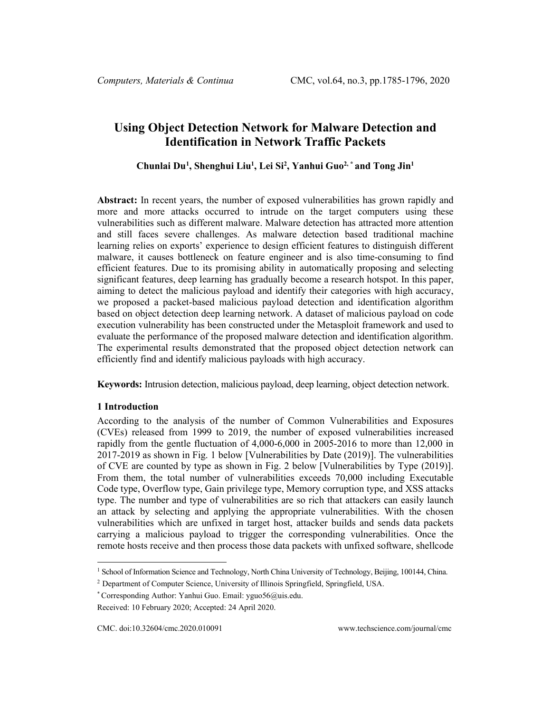# **Using Object Detection Network for Malware Detection and Identification in Network Traffic Packets**

# **Chunlai Du[1](#page-0-0) , Shenghui Liu1 , Lei Si2 , Yanhui Guo2, \* and Tong Jin1**

**Abstract:** In recent years, the number of exposed vulnerabilities has grown rapidly and more and more attacks occurred to intrude on the target computers using these vulnerabilities such as different malware. Malware detection has attracted more attention and still faces severe challenges. As malware detection based traditional machine learning relies on exports' experience to design efficient features to distinguish different malware, it causes bottleneck on feature engineer and is also time-consuming to find efficient features. Due to its promising ability in automatically proposing and selecting significant features, deep learning has gradually become a research hotspot. In this paper, aiming to detect the malicious payload and identify their categories with high accuracy, we proposed a packet-based malicious payload detection and identification algorithm based on object detection deep learning network. A dataset of malicious payload on code execution vulnerability has been constructed under the Metasploit framework and used to evaluate the performance of the proposed malware detection and identification algorithm. The experimental results demonstrated that the proposed object detection network can efficiently find and identify malicious payloads with high accuracy.

**Keywords:** Intrusion detection, malicious payload, deep learning, object detection network.

## **1 Introduction**

According to the analysis of the number of Common Vulnerabilities and Exposures (CVEs) released from 1999 to 2019, the number of exposed vulnerabilities increased rapidly from the gentle fluctuation of 4,000-6,000 in 2005-2016 to more than 12,000 in 2017-2019 as shown in Fig. 1 below [Vulnerabilities by Date (2019)]. The vulnerabilities of CVE are counted by type as shown in Fig. 2 below [Vulnerabilities by Type (2019)]. From them, the total number of vulnerabilities exceeds 70,000 including Executable Code type, Overflow type, Gain privilege type, Memory corruption type, and XSS attacks type. The number and type of vulnerabilities are so rich that attackers can easily launch an attack by selecting and applying the appropriate vulnerabilities. With the chosen vulnerabilities which are unfixed in target host, attacker builds and sends data packets carrying a malicious payload to trigger the corresponding vulnerabilities. Once the remote hosts receive and then process those data packets with unfixed software, shellcode

<span id="page-0-0"></span><sup>&</sup>lt;sup>1</sup> School of Information Science and Technology, North China University of Technology, Beijing, 100144, China.

<sup>&</sup>lt;sup>2</sup> Department of Computer Science, University of Illinois Springfield, Springfield, USA.

<sup>\*</sup> Corresponding Author: Yanhui Guo. Email: yguo56@uis.edu.

Received: 10 February 2020; Accepted: 24 April 2020.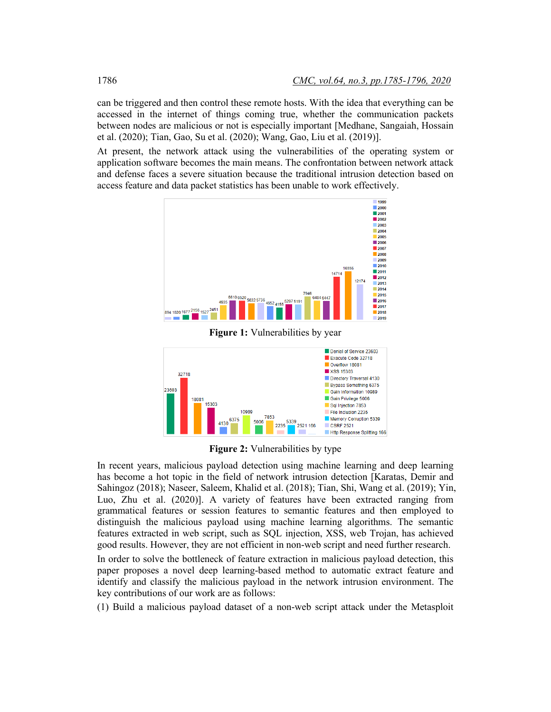can be triggered and then control these remote hosts. With the idea that everything can be accessed in the internet of things coming true, whether the communication packets between nodes are malicious or not is especially important [Medhane, Sangaiah, Hossain et al. (2020); Tian, Gao, Su et al. (2020); Wang, Gao, Liu et al. (2019)].

At present, the network attack using the vulnerabilities of the operating system or application software becomes the main means. The confrontation between network attack and defense faces a severe situation because the traditional intrusion detection based on access feature and data packet statistics has been unable to work effectively.



**Figure 1:** Vulnerabilities by year



**Figure 2:** Vulnerabilities by type

In recent years, malicious payload detection using machine learning and deep learning has become a hot topic in the field of network intrusion detection [Karatas, Demir and Sahingoz (2018); Naseer, Saleem, Khalid et al. (2018); Tian, Shi, Wang et al. (2019); Yin, Luo, Zhu et al. (2020)]. A variety of features have been extracted ranging from grammatical features or session features to semantic features and then employed to distinguish the malicious payload using machine learning algorithms. The semantic features extracted in web script, such as SQL injection, XSS, web Trojan, has achieved good results. However, they are not efficient in non-web script and need further research.

In order to solve the bottleneck of feature extraction in malicious payload detection, this paper proposes a novel deep learning-based method to automatic extract feature and identify and classify the malicious payload in the network intrusion environment. The key contributions of our work are as follows:

(1) Build a malicious payload dataset of a non-web script attack under the Metasploit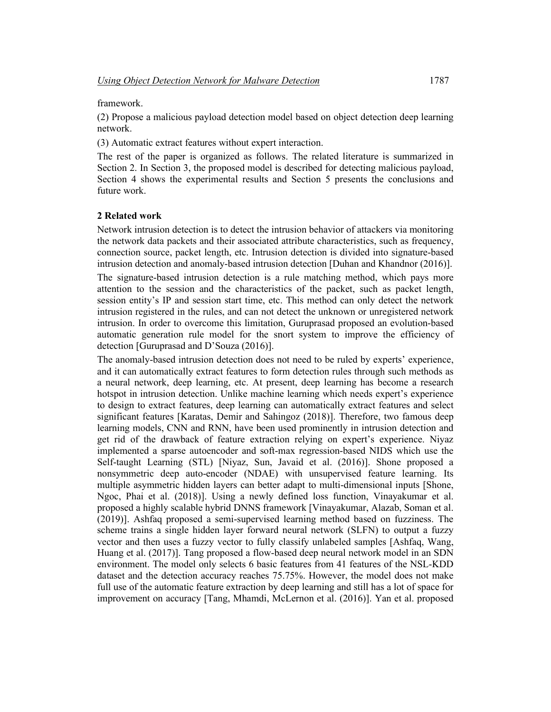framework.

(2) Propose a malicious payload detection model based on object detection deep learning network.

(3) Automatic extract features without expert interaction.

The rest of the paper is organized as follows. The related literature is summarized in Section 2. In Section 3, the proposed model is described for detecting malicious payload, Section 4 shows the experimental results and Section 5 presents the conclusions and future work.

#### **2 Related work**

Network intrusion detection is to detect the intrusion behavior of attackers via monitoring the network data packets and their associated attribute characteristics, such as frequency, connection source, packet length, etc. Intrusion detection is divided into signature-based intrusion detection and anomaly-based intrusion detection [Duhan and Khandnor (2016)].

The signature-based intrusion detection is a rule matching method, which pays more attention to the session and the characteristics of the packet, such as packet length, session entity's IP and session start time, etc. This method can only detect the network intrusion registered in the rules, and can not detect the unknown or unregistered network intrusion. In order to overcome this limitation, Guruprasad proposed an evolution-based automatic generation rule model for the snort system to improve the efficiency of detection [Guruprasad and D'Souza (2016)].

The anomaly-based intrusion detection does not need to be ruled by experts' experience, and it can automatically extract features to form detection rules through such methods as a neural network, deep learning, etc. At present, deep learning has become a research hotspot in intrusion detection. Unlike machine learning which needs expert's experience to design to extract features, deep learning can automatically extract features and select significant features [Karatas, Demir and Sahingoz (2018)]. Therefore, two famous deep learning models, CNN and RNN, have been used prominently in intrusion detection and get rid of the drawback of feature extraction relying on expert's experience. Niyaz implemented a sparse autoencoder and soft-max regression-based NIDS which use the Self-taught Learning (STL) [Niyaz, Sun, Javaid et al. (2016)]. Shone proposed a nonsymmetric deep auto-encoder (NDAE) with unsupervised feature learning. Its multiple asymmetric hidden layers can better adapt to multi-dimensional inputs [Shone, Ngoc, Phai et al. (2018)]. Using a newly defined loss function, Vinayakumar et al. proposed a highly scalable hybrid DNNS framework [Vinayakumar, Alazab, Soman et al. (2019)]. Ashfaq proposed a semi-supervised learning method based on fuzziness. The scheme trains a single hidden layer forward neural network (SLFN) to output a fuzzy vector and then uses a fuzzy vector to fully classify unlabeled samples [Ashfaq, Wang, Huang et al. (2017)]. Tang proposed a flow-based deep neural network model in an SDN environment. The model only selects 6 basic features from 41 features of the NSL-KDD dataset and the detection accuracy reaches 75.75%. However, the model does not make full use of the automatic feature extraction by deep learning and still has a lot of space for improvement on accuracy [Tang, Mhamdi, McLernon et al. (2016)]. Yan et al. proposed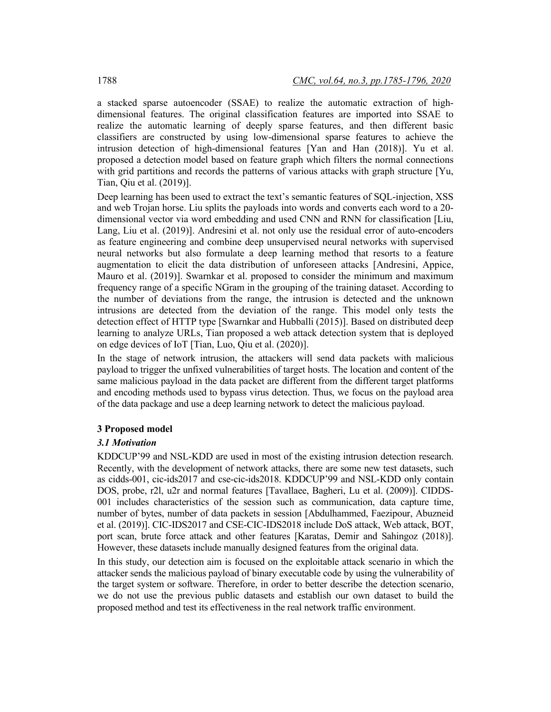a stacked sparse autoencoder (SSAE) to realize the automatic extraction of highdimensional features. The original classification features are imported into SSAE to realize the automatic learning of deeply sparse features, and then different basic classifiers are constructed by using low-dimensional sparse features to achieve the intrusion detection of high-dimensional features [Yan and Han (2018)]. Yu et al. proposed a detection model based on feature graph which filters the normal connections with grid partitions and records the patterns of various attacks with graph structure [Yu, Tian, Qiu et al. (2019)].

Deep learning has been used to extract the text's semantic features of SQL-injection, XSS and web Trojan horse. Liu splits the payloads into words and converts each word to a 20 dimensional vector via word embedding and used CNN and RNN for classification [Liu, Lang, Liu et al. (2019)]. Andresini et al. not only use the residual error of auto-encoders as feature engineering and combine deep unsupervised neural networks with supervised neural networks but also formulate a deep learning method that resorts to a feature augmentation to elicit the data distribution of unforeseen attacks [Andresini, Appice, Mauro et al. (2019)]. Swarnkar et al. proposed to consider the minimum and maximum frequency range of a specific NGram in the grouping of the training dataset. According to the number of deviations from the range, the intrusion is detected and the unknown intrusions are detected from the deviation of the range. This model only tests the detection effect of HTTP type [Swarnkar and Hubballi (2015)]. Based on distributed deep learning to analyze URLs, Tian proposed a web attack detection system that is deployed on edge devices of IoT [Tian, Luo, Qiu et al. (2020)].

In the stage of network intrusion, the attackers will send data packets with malicious payload to trigger the unfixed vulnerabilities of target hosts. The location and content of the same malicious payload in the data packet are different from the different target platforms and encoding methods used to bypass virus detection. Thus, we focus on the payload area of the data package and use a deep learning network to detect the malicious payload.

#### **3 Proposed model**

#### *3.1 Motivation*

KDDCUP'99 and NSL-KDD are used in most of the existing intrusion detection research. Recently, with the development of network attacks, there are some new test datasets, such as cidds-001, cic-ids2017 and cse-cic-ids2018. KDDCUP'99 and NSL-KDD only contain DOS, probe, r2l, u2r and normal features [Tavallaee, Bagheri, Lu et al. (2009)]. CIDDS-001 includes characteristics of the session such as communication, data capture time, number of bytes, number of data packets in session [Abdulhammed, Faezipour, Abuzneid et al. (2019)]. CIC-IDS2017 and CSE-CIC-IDS2018 include DoS attack, Web attack, BOT, port scan, brute force attack and other features [Karatas, Demir and Sahingoz (2018)]. However, these datasets include manually designed features from the original data.

In this study, our detection aim is focused on the exploitable attack scenario in which the attacker sends the malicious payload of binary executable code by using the vulnerability of the target system or software. Therefore, in order to better describe the detection scenario, we do not use the previous public datasets and establish our own dataset to build the proposed method and test its effectiveness in the real network traffic environment.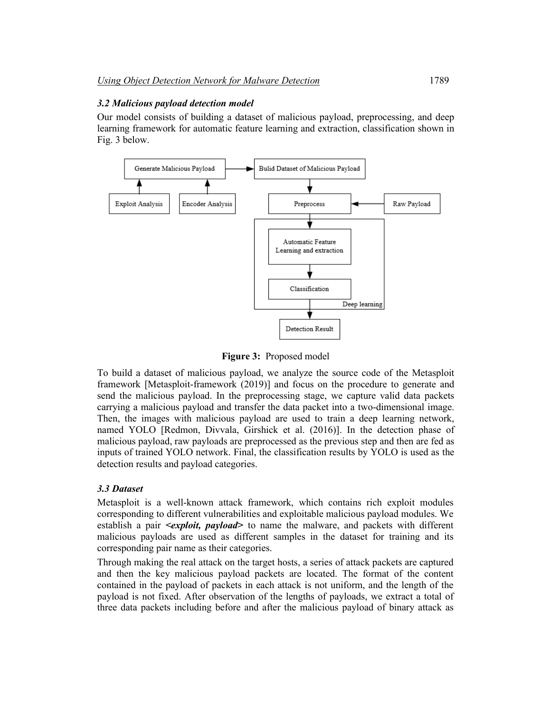#### *3.2 Malicious payload detection model*

Our model consists of building a dataset of malicious payload, preprocessing, and deep learning framework for automatic feature learning and extraction, classification shown in Fig. 3 below.



**Figure 3:** Proposed model

To build a dataset of malicious payload, we analyze the source code of the Metasploit framework [Metasploit-framework (2019)] and focus on the procedure to generate and send the malicious payload. In the preprocessing stage, we capture valid data packets carrying a malicious payload and transfer the data packet into a two-dimensional image. Then, the images with malicious payload are used to train a deep learning network, named YOLO [Redmon, Divvala, Girshick et al. (2016)]. In the detection phase of malicious payload, raw payloads are preprocessed as the previous step and then are fed as inputs of trained YOLO network. Final, the classification results by YOLO is used as the detection results and payload categories.

#### *3.3 Dataset*

Metasploit is a well-known attack framework, which contains rich exploit modules corresponding to different vulnerabilities and exploitable malicious payload modules. We establish a pair *<exploit, payload>* to name the malware, and packets with different malicious payloads are used as different samples in the dataset for training and its corresponding pair name as their categories.

Through making the real attack on the target hosts, a series of attack packets are captured and then the key malicious payload packets are located. The format of the content contained in the payload of packets in each attack is not uniform, and the length of the payload is not fixed. After observation of the lengths of payloads, we extract a total of three data packets including before and after the malicious payload of binary attack as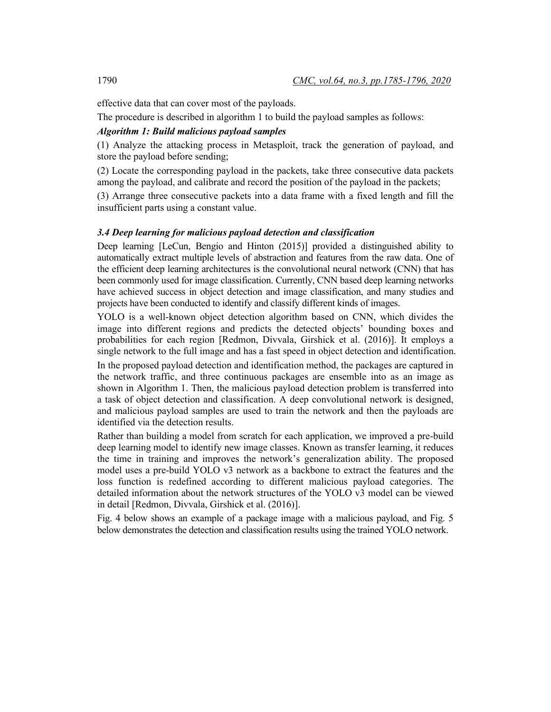effective data that can cover most of the payloads.

The procedure is described in algorithm 1 to build the payload samples as follows:

### *Algorithm 1: Build malicious payload samples*

(1) Analyze the attacking process in Metasploit, track the generation of payload, and store the payload before sending;

(2) Locate the corresponding payload in the packets, take three consecutive data packets among the payload, and calibrate and record the position of the payload in the packets;

(3) Arrange three consecutive packets into a data frame with a fixed length and fill the insufficient parts using a constant value.

#### *3.4 Deep learning for malicious payload detection and classification*

Deep learning [LeCun, Bengio and Hinton (2015)] provided a distinguished ability to automatically extract multiple levels of abstraction and features from the raw data. One of the efficient deep learning architectures is the convolutional neural network (CNN) that has been commonly used for image classification. Currently, CNN based deep learning networks have achieved success in object detection and image classification, and many studies and projects have been conducted to identify and classify different kinds of images.

YOLO is a well-known object detection algorithm based on CNN, which divides the image into different regions and predicts the detected objects' bounding boxes and probabilities for each region [Redmon, Divvala, Girshick et al. (2016)]. It employs a single network to the full image and has a fast speed in object detection and identification.

In the proposed payload detection and identification method, the packages are captured in the network traffic, and three continuous packages are ensemble into as an image as shown in Algorithm 1. Then, the malicious payload detection problem is transferred into a task of object detection and classification. A deep convolutional network is designed, and malicious payload samples are used to train the network and then the payloads are identified via the detection results.

Rather than building a model from scratch for each application, we improved a pre-build deep learning model to identify new image classes. Known as transfer learning, it reduces the time in training and improves the network's generalization ability. The proposed model uses a pre-build YOLO v3 network as a backbone to extract the features and the loss function is redefined according to different malicious payload categories. The detailed information about the network structures of the YOLO v3 model can be viewed in detail [Redmon, Divvala, Girshick et al. (2016)].

Fig. 4 below shows an example of a package image with a malicious payload, and Fig. 5 below demonstrates the detection and classification results using the trained YOLO network.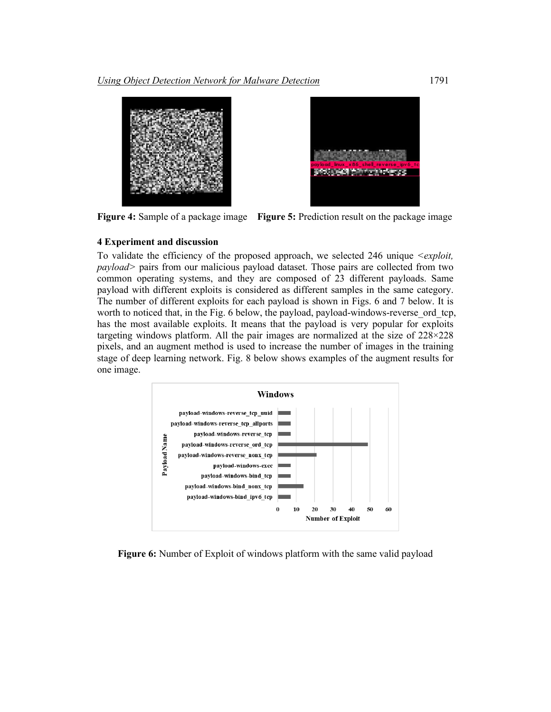

**Figure 4:** Sample of a package image **Figure 5:** Prediction result on the package image

# **4 Experiment and discussion**

To validate the efficiency of the proposed approach, we selected 246 unique *<exploit, payload>* pairs from our malicious payload dataset. Those pairs are collected from two common operating systems, and they are composed of 23 different payloads. Same payload with different exploits is considered as different samples in the same category. The number of different exploits for each payload is shown in Figs. 6 and 7 below. It is worth to noticed that, in the Fig. 6 below, the payload, payload-windows-reverse ord tcp, has the most available exploits. It means that the payload is very popular for exploits targeting windows platform. All the pair images are normalized at the size of 228×228 pixels, and an augment method is used to increase the number of images in the training stage of deep learning network. Fig. 8 below shows examples of the augment results for one image.



**Figure 6:** Number of Exploit of windows platform with the same valid payload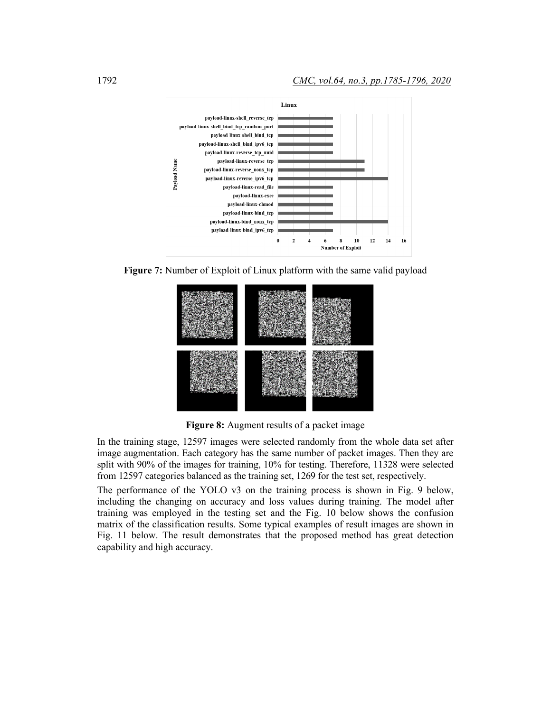

**Figure 7:** Number of Exploit of Linux platform with the same valid payload



**Figure 8:** Augment results of a packet image

In the training stage, 12597 images were selected randomly from the whole data set after image augmentation. Each category has the same number of packet images. Then they are split with 90% of the images for training, 10% for testing. Therefore, 11328 were selected from 12597 categories balanced as the training set, 1269 for the test set, respectively.

The performance of the YOLO v3 on the training process is shown in Fig. 9 below, including the changing on accuracy and loss values during training. The model after training was employed in the testing set and the Fig. 10 below shows the confusion matrix of the classification results. Some typical examples of result images are shown in Fig. 11 below. The result demonstrates that the proposed method has great detection capability and high accuracy.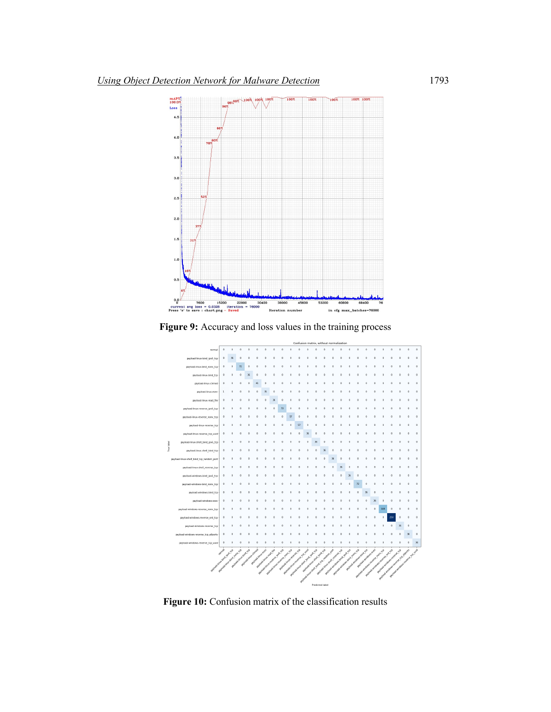

**Figure 9:** Accuracy and loss values in the training process



**Figure 10:** Confusion matrix of the classification results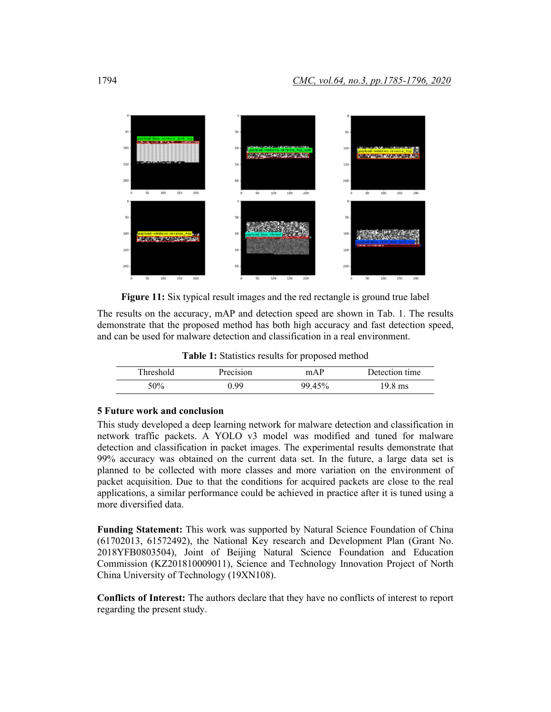

**Figure 11:** Six typical result images and the red rectangle is ground true label

The results on the accuracy, mAP and detection speed are shown in Tab. 1. The results demonstrate that the proposed method has both high accuracy and fast detection speed, and can be used for malware detection and classification in a real environment.

**Table 1:** Statistics results for proposed method

| Threshold | Precision | mAP    | Detection time |
|-----------|-----------|--------|----------------|
| 50%       | 199       | 99 45% | 9.8 ms         |

#### **5 Future work and conclusion**

This study developed a deep learning network for malware detection and classification in network traffic packets. A YOLO v3 model was modified and tuned for malware detection and classification in packet images. The experimental results demonstrate that 99% accuracy was obtained on the current data set. In the future, a large data set is planned to be collected with more classes and more variation on the environment of packet acquisition. Due to that the conditions for acquired packets are close to the real applications, a similar performance could be achieved in practice after it is tuned using a more diversified data.

**Funding Statement:** This work was supported by Natural Science Foundation of China (61702013, 61572492), the National Key research and Development Plan (Grant No. 2018YFB0803504), Joint of Beijing Natural Science Foundation and Education Commission (KZ201810009011), Science and Technology Innovation Project of North China University of Technology (19XN108).

**Conflicts of Interest:** The authors declare that they have no conflicts of interest to report regarding the present study.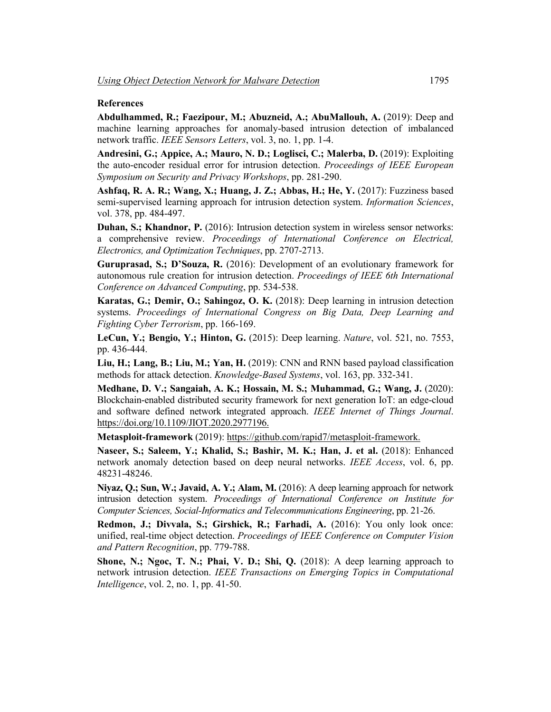#### **References**

**Abdulhammed, R.; Faezipour, M.; Abuzneid, A.; AbuMallouh, A.** (2019): Deep and machine learning approaches for anomaly-based intrusion detection of imbalanced network traffic. *IEEE Sensors Letters*, vol. 3, no. 1, pp. 1-4.

**Andresini, G.; Appice, A.; Mauro, N. D.; Loglisci, C.; Malerba, D.** (2019): Exploiting the auto-encoder residual error for intrusion detection. *Proceedings of IEEE European Symposium on Security and Privacy Workshops*, pp. 281-290.

**Ashfaq, R. A. R.; Wang, X.; Huang, J. Z.; Abbas, H.; He, Y.** (2017): Fuzziness based semi-supervised learning approach for intrusion detection system. *Information Sciences*, vol. 378, pp. 484-497.

**Duhan, S.; Khandnor, P.** (2016): Intrusion detection system in wireless sensor networks: a comprehensive review. *Proceedings of International Conference on Electrical, Electronics, and Optimization Techniques*, pp. 2707-2713.

**Guruprasad, S.; D'Souza, R.** (2016): Development of an evolutionary framework for autonomous rule creation for intrusion detection. *Proceedings of IEEE 6th International Conference on Advanced Computing*, pp. 534-538.

**Karatas, G.; Demir, O.; Sahingoz, O. K.** (2018): Deep learning in intrusion detection systems. *Proceedings of International Congress on Big Data, Deep Learning and Fighting Cyber Terrorism*, pp. 166-169.

**LeCun, Y.; Bengio, Y.; Hinton, G.** (2015): Deep learning. *Nature*, vol. 521, no. 7553, pp. 436-444.

**Liu, H.; Lang, B.; Liu, M.; Yan, H.** (2019): CNN and RNN based payload classification methods for attack detection. *Knowledge-Based Systems*, vol. 163, pp. 332-341.

**Medhane, D. V.; Sangaiah, A. K.; Hossain, M. S.; Muhammad, G.; Wang, J.** (2020): Blockchain-enabled distributed security framework for next generation IoT: an edge-cloud and software defined network integrated approach. *IEEE Internet of Things Journal*. https://doi.org/10.1109/JIOT.2020.2977196.

**Metasploit-framework** (2019): https://github.com/rapid7/metasploit-framework.

**Naseer, S.; Saleem, Y.; Khalid, S.; Bashir, M. K.; Han, J. et al.** (2018): Enhanced network anomaly detection based on deep neural networks. *IEEE Access*, vol. 6, pp. 48231-48246.

**Niyaz, Q.; Sun, W.; Javaid, A. Y.; Alam, M.** (2016): A deep learning approach for network intrusion detection system. *Proceedings of International Conference on Institute for Computer Sciences, Social-Informatics and Telecommunications Engineering*, pp. 21-26.

**Redmon, J.; Divvala, S.; Girshick, R.; Farhadi, A.** (2016): You only look once: unified, real-time object detection. *Proceedings of IEEE Conference on Computer Vision and Pattern Recognition*, pp. 779-788.

**Shone, N.; Ngoc, T. N.; Phai, V. D.; Shi, Q.** (2018): A deep learning approach to network intrusion detection. *IEEE Transactions on Emerging Topics in Computational Intelligence*, vol. 2, no. 1, pp. 41-50.